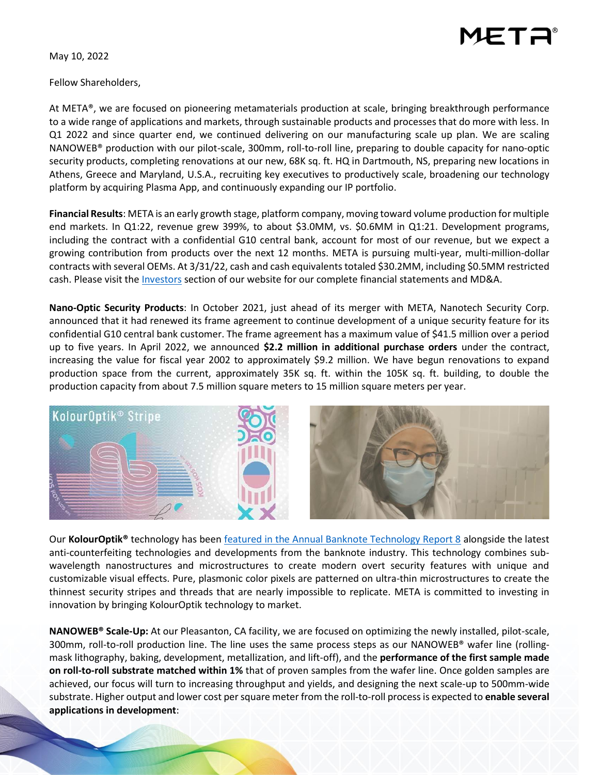

May 10, 2022

Fellow Shareholders,

At META®, we are focused on pioneering metamaterials production at scale, bringing breakthrough performance to a wide range of applications and markets, through sustainable products and processes that do more with less. In Q1 2022 and since quarter end, we continued delivering on our manufacturing scale up plan. We are scaling NANOWEB® production with our pilot-scale, 300mm, roll-to-roll line, preparing to double capacity for nano-optic security products, completing renovations at our new, 68K sq. ft. HQ in Dartmouth, NS, preparing new locations in Athens, Greece and Maryland, U.S.A., recruiting key executives to productively scale, broadening our technology platform by acquiring Plasma App, and continuously expanding our IP portfolio.

**Financial Results**: META is an early growth stage, platform company, moving toward volume production for multiple end markets. In Q1:22, revenue grew 399%, to about \$3.0MM, vs. \$0.6MM in Q1:21. Development programs, including the contract with a confidential G10 central bank, account for most of our revenue, but we expect a growing contribution from products over the next 12 months. META is pursuing multi-year, multi-million-dollar contracts with several OEMs. At 3/31/22, cash and cash equivalents totaled \$30.2MM, including \$0.5MM restricted cash. Please visit the *Investors* section of our website for our complete financial statements and MD&A.

**Nano-Optic Security Products**: In October 2021, just ahead of its merger with META, Nanotech Security Corp. announced that it had renewed its frame agreement to continue development of a unique security feature for its confidential G10 central bank customer. The frame agreement has a maximum value of \$41.5 million over a period up to five years. In April 2022, we announced **\$2.2 million in additional purchase orders** under the contract, increasing the value for fiscal year 2002 to approximately \$9.2 million. We have begun renovations to expand production space from the current, approximately 35K sq. ft. within the 105K sq. ft. building, to double the production capacity from about 7.5 million square meters to 15 million square meters per year.



Our **KolourOptik®** technology has been [featured in the Annual Banknote Technology Report 8](https://www.nanosecurity.ca/wp-content/uploads/2022/05/BanknoteReport-8.pdf) alongside the latest anti-counterfeiting technologies and developments from the banknote industry. This technology combines subwavelength nanostructures and microstructures to create modern overt security features with unique and customizable visual effects. Pure, plasmonic color pixels are patterned on ultra-thin microstructures to create the thinnest security stripes and threads that are nearly impossible to replicate. META is committed to investing in innovation by bringing KolourOptik technology to market.

**NANOWEB® Scale-Up:** At our Pleasanton, CA facility, we are focused on optimizing the newly installed, pilot-scale, 300mm, roll-to-roll production line. The line uses the same process steps as our NANOWEB® wafer line (rollingmask lithography, baking, development, metallization, and lift-off), and the **performance of the first sample made on roll-to-roll substrate matched within 1%** that of proven samples from the wafer line. Once golden samples are achieved, our focus will turn to increasing throughput and yields, and designing the next scale-up to 500mm-wide substrate. Higher output and lower cost per square meter from the roll-to-roll process is expected to **enable several applications in development**: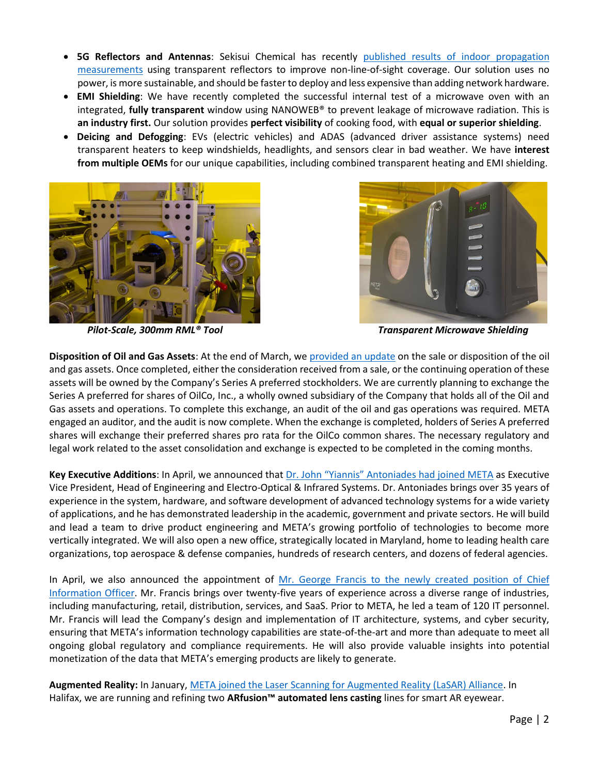- **5G Reflectors and Antennas**: Sekisui Chemical has recently [published results of indoor propagation](https://www.researchgate.net/publication/359254483_Indoor_Propagation_Measurements_with_Sekisui_Transparent_Reflectors_at_2839120144_GHz)  [measurements](https://www.researchgate.net/publication/359254483_Indoor_Propagation_Measurements_with_Sekisui_Transparent_Reflectors_at_2839120144_GHz) using transparent reflectors to improve non-line-of-sight coverage. Our solution uses no power, is more sustainable, and should be faster to deploy and less expensive than adding network hardware.
- **EMI Shielding**: We have recently completed the successful internal test of a microwave oven with an integrated, **fully transparent** window using NANOWEB® to prevent leakage of microwave radiation. This is **an industry first.** Our solution provides **perfect visibility** of cooking food, with **equal or superior shielding**.
- **Deicing and Defogging**: EVs (electric vehicles) and ADAS (advanced driver assistance systems) need transparent heaters to keep windshields, headlights, and sensors clear in bad weather. We have **interest from multiple OEMs** for our unique capabilities, including combined transparent heating and EMI shielding.





*Pilot-Scale, 300mm RML® Tool Transparent Microwave Shielding*

**Disposition of Oil and Gas Assets**: At the end of March, w[e provided an update](https://metamaterial.com/meta-materials-provides-update-on-the-special-series-a-preferred-stock-dividend/) on the sale or disposition of the oil and gas assets. Once completed, either the consideration received from a sale, or the continuing operation of these assets will be owned by the Company's Series A preferred stockholders. We are currently planning to exchange the Series A preferred for shares of OilCo, Inc., a wholly owned subsidiary of the Company that holds all of the Oil and Gas assets and operations. To complete this exchange, an audit of the oil and gas operations was required. META engaged an auditor, and the audit is now complete. When the exchange is completed, holders of Series A preferred shares will exchange their preferred shares pro rata for the OilCo common shares. The necessary regulatory and legal work related to the asset consolidation and exchange is expected to be completed in the coming months.

**Key Executive Additions**: In April, we announced that Dr. John ["Yiannis" Antoniades](https://metamaterial.com/meta-appoints-new-evp-and-expands-organizational-structure-to-accelerate-growth-strengthen-pipeline-and-increase-productivity/) had joined META as Executive Vice President, Head of Engineering and Electro-Optical & Infrared Systems. Dr. Antoniades brings over 35 years of experience in the system, hardware, and software development of advanced technology systems for a wide variety of applications, and he has demonstrated leadership in the academic, government and private sectors. He will build and lead a team to drive product engineering and META's growing portfolio of technologies to become more vertically integrated. We will also open a new office, strategically located in Maryland, home to leading health care organizations, top aerospace & defense companies, hundreds of research centers, and dozens of federal agencies.

In April, we also announced the appointment of Mr. George Francis to the newly created position of Chief [Information Officer.](https://metamaterial.com/meta-materials-appoints-chief-information-officer-to-lead-digital-transformation-initiatives/) Mr. Francis brings over twenty-five years of experience across a diverse range of industries, including manufacturing, retail, distribution, services, and SaaS. Prior to META, he led a team of 120 IT personnel. Mr. Francis will lead the Company's design and implementation of IT architecture, systems, and cyber security, ensuring that META's information technology capabilities are state-of-the-art and more than adequate to meet all ongoing global regulatory and compliance requirements. He will also provide valuable insights into potential monetization of the data that META's emerging products are likely to generate.

**Augmented Reality:** In January, [META joined the Laser Scanning for Augmented Reality \(LaSAR\) Alliance.](https://metamaterial.com/meta-materials-joins-lasar-alliance-for-augmented-reality-wearable-devices/) In Halifax, we are running and refining two **ARfusion™ automated lens casting** lines for smart AR eyewear.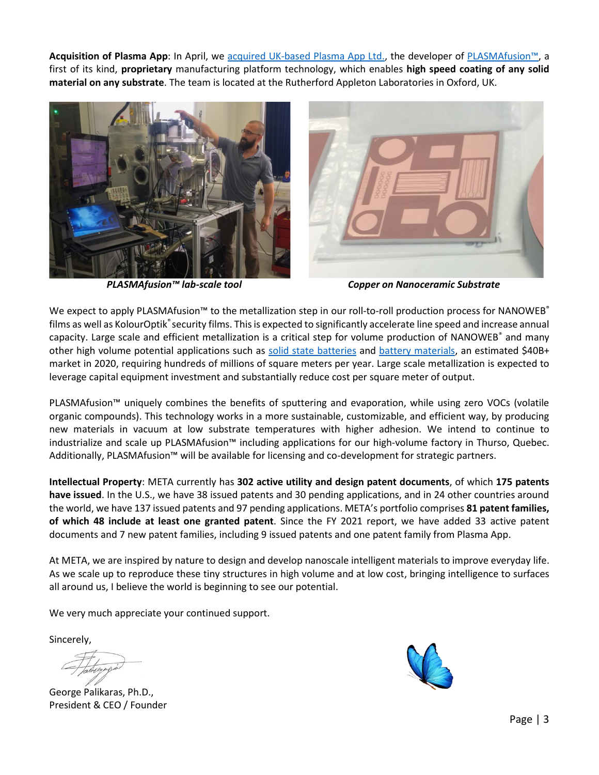**Acquisition of Plasma App**: In April, we acquired [UK-based Plasma App Ltd.,](https://metamaterial.com/meta-materials-acquires-uk-based-plasma-app-ltd/) the developer of [PLASMAfusion™](https://metamaterial.com/technologies/plasmafusion/), a first of its kind, **proprietary** manufacturing platform technology, which enables **high speed coating of any solid material on any substrate**. The team is located at the Rutherford Appleton Laboratories in Oxford, UK.





*PLASMAfusion™ lab-scale tool Copper on Nanoceramic Substrate*

We expect to apply PLASMAfusion™ to the metallization step in our roll-to-roll production process for NANOWEB® films as well as KolourOptik®security films. This is expected to significantly accelerate line speed and increase annual capacity. Large scale and efficient metallization is a critical step for volume production of NANOWEB<sup>®</sup> and many other high volume potential applications such as [solid state batteries](https://www.sciencedirect.com/science/article/abs/pii/S2211285521000744?via%3Dihub) and [battery materials,](https://europe.dupontteijinfilms.com/news/2021/new-battery-current-collectors-developed-by-a-british-consortium/) an estimated \$40B+ market in 2020, requiring hundreds of millions of square meters per year. Large scale metallization is expected to leverage capital equipment investment and substantially reduce cost per square meter of output.

PLASMAfusion™ uniquely combines the benefits of sputtering and evaporation, while using zero VOCs (volatile organic compounds). This technology works in a more sustainable, customizable, and efficient way, by producing new materials in vacuum at low substrate temperatures with higher adhesion. We intend to continue to industrialize and scale up PLASMAfusion™ including applications for our high-volume factory in Thurso, Quebec. Additionally, PLASMAfusion™ will be available for licensing and co-development for strategic partners.

**Intellectual Property**: META currently has **302 active utility and design patent documents**, of which **175 patents have issued**. In the U.S., we have 38 issued patents and 30 pending applications, and in 24 other countries around the world, we have 137 issued patents and 97 pending applications. META's portfolio comprises **81 patent families, of which 48 include at least one granted patent**. Since the FY 2021 report, we have added 33 active patent documents and 7 new patent families, including 9 issued patents and one patent family from Plasma App.

At META, we are inspired by nature to design and develop nanoscale intelligent materials to improve everyday life. As we scale up to reproduce these tiny structures in high volume and at low cost, bringing intelligence to surfaces all around us, I believe the world is beginning to see our potential.

We very much appreciate your continued support.

Sincerely,

George Palikaras, Ph.D., President & CEO / Founder